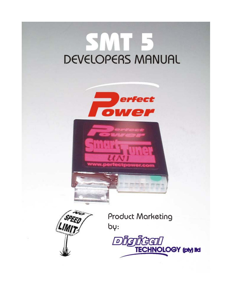# JMT F DEVELOPERS MANUAL





**Product Marketing** by:

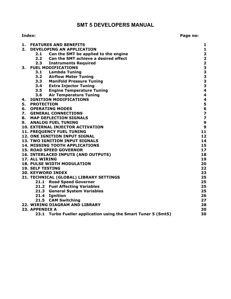### **SMT 5 DEVELOPERS MANUAL**

| Index: | Page no: |
|--------|----------|
|--------|----------|

| 1. | <b>FEATURES AND BENEFITS</b>                                     | 1                                          |
|----|------------------------------------------------------------------|--------------------------------------------|
| 2. | <b>DEVELOPING AN APPLICATION</b>                                 | $\mathbf{1}$                               |
|    | Can the SMT be applied to the engine<br>2.1                      | $\begin{array}{c} 2 \\ 2 \\ 2 \end{array}$ |
|    | 2.2<br>Can the SMT achieve a desired effect                      |                                            |
|    | 2.3<br><b>Instruments Required</b>                               |                                            |
| 3. | <b>FUEL MODIFICATIONS</b>                                        | 3                                          |
|    | 3.1<br>Lambda Tuning                                             |                                            |
|    | 3.2 Airflow Meter Tuning                                         | 33334                                      |
|    | 3.3 Manifold Pressure Tuning                                     |                                            |
|    | 3.4 Extra Injector Tuning                                        |                                            |
|    | 3.5 Engine Temperature Tuning                                    |                                            |
|    | 3.6 Air Temperature Tuning                                       | 4                                          |
| 4. | <b>IGNITION MODIFICATIONS</b>                                    | 4                                          |
| 5. | <b>PROTECTION</b>                                                | 5<br>6<br>7                                |
| 6. | <b>OPERATING MODES</b>                                           |                                            |
| 7. | <b>GENERAL CONNECTIONS</b>                                       |                                            |
| 8. | <b>MAP DEFLECTION SIGNALS</b>                                    | $\overline{\mathbf{z}}$                    |
| 9. | <b>ANALOG FUEL TUNING</b>                                        | 9                                          |
|    | <b>10. EXTERNAL INJECTOR ACTIVATION</b>                          | $\boldsymbol{9}$                           |
|    | 11. FREQUENCY FUEL TUNING                                        | 11                                         |
|    | 12. ONE IGNITION INPUT SIGNAL                                    | 12                                         |
|    | 13. TWO IGNITION INPUT SIGNALS                                   | 14                                         |
|    | <b>14. MISSING TOOTH APPLICATIONS</b>                            | 15                                         |
|    | <b>15. ROAD SPEED GOVERNOR</b>                                   | 17                                         |
|    | <b>16. INTERLACED INPUTS (AND OUTPUTS)</b>                       | 18                                         |
|    | 17. ALL WIRING                                                   | 19                                         |
|    | <b>18. PULSE WIDTH MODULATION</b>                                | 20                                         |
|    | <b>19. SELF TESTING</b>                                          | 22                                         |
|    | <b>20. KEYWORD INDEX</b>                                         | 23                                         |
|    | 21. TECHNICAL (GLOBAL) LIBRARY SETTINGS                          | 25                                         |
|    | 21.1 Road Speed Governor                                         | 25                                         |
|    | 21.2 Fuel Affecting Variables                                    | 25                                         |
|    | 21.3 General System Variables                                    | 25                                         |
|    | 21.4 Ignition                                                    | 26                                         |
|    | 21.5 CAM Switching                                               | 27                                         |
|    | 22. WIRING DIAGRAM AND LIBRARY                                   | 28                                         |
|    | 23. APPENDIX A                                                   | 30                                         |
|    | 23.1<br>Turbo Fueller application using the Smart Tuner 5 (Smt5) | 30                                         |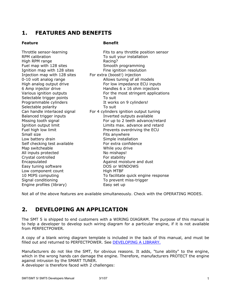# <span id="page-2-0"></span>**1. FEATURES AND BENEFITS**

### **Feature Benefit**

| Throttle sensor-learning<br>RPM calibration<br>High RPM range<br>Fuel map with 128 sites<br>Ignition map with 128 sites<br>Injection map with 128 sites<br>0-10 volt analog range<br>High analog output drive<br>6 Amp injector drive<br>Various ignition outputs<br>Selectable trigger points<br>Programmable cylinders | Fits to any throttle position sensor<br>To suit your installation<br>Racing?<br>Smooth programming<br>Fine ignition resolution<br>For extra (boost!) injection<br>Allows tuning of all models<br>For low impedance ECU inputs<br>Handles 6 x 16 ohm injectors<br>For the most stringent applications<br>To suit<br>It works on 9 cylinders! |
|--------------------------------------------------------------------------------------------------------------------------------------------------------------------------------------------------------------------------------------------------------------------------------------------------------------------------|---------------------------------------------------------------------------------------------------------------------------------------------------------------------------------------------------------------------------------------------------------------------------------------------------------------------------------------------|
| Selectable polarity                                                                                                                                                                                                                                                                                                      | To suit                                                                                                                                                                                                                                                                                                                                     |
| Can handle interlaced signal                                                                                                                                                                                                                                                                                             | For 4 cylinders ignition output tuning                                                                                                                                                                                                                                                                                                      |
| Balanced trigger inputs<br>Missing tooth signal                                                                                                                                                                                                                                                                          | Inverted outputs available<br>For up to 2 teeth advance/retard                                                                                                                                                                                                                                                                              |
| Ignition output limit                                                                                                                                                                                                                                                                                                    | Limits max, advance and retard                                                                                                                                                                                                                                                                                                              |
| Fuel high low limit                                                                                                                                                                                                                                                                                                      | Prevents overdriving the ECU                                                                                                                                                                                                                                                                                                                |
| Small size                                                                                                                                                                                                                                                                                                               | Fits anywhere                                                                                                                                                                                                                                                                                                                               |
| Low battery drain                                                                                                                                                                                                                                                                                                        | Simple installation                                                                                                                                                                                                                                                                                                                         |
| Self checking test available                                                                                                                                                                                                                                                                                             | For extra confidence                                                                                                                                                                                                                                                                                                                        |
| Map switcheable                                                                                                                                                                                                                                                                                                          | While you drive                                                                                                                                                                                                                                                                                                                             |
| All inputs protected                                                                                                                                                                                                                                                                                                     | No mishaps!                                                                                                                                                                                                                                                                                                                                 |
| Crystal controlled                                                                                                                                                                                                                                                                                                       | For stability                                                                                                                                                                                                                                                                                                                               |
| Encapsulated                                                                                                                                                                                                                                                                                                             | Against moisture and dust                                                                                                                                                                                                                                                                                                                   |
| Easy tuning software                                                                                                                                                                                                                                                                                                     | DOS or WINDOWS                                                                                                                                                                                                                                                                                                                              |
| Low component count                                                                                                                                                                                                                                                                                                      | High MTBF                                                                                                                                                                                                                                                                                                                                   |
| 10 MIPS computing                                                                                                                                                                                                                                                                                                        | To facilitate quick engine response                                                                                                                                                                                                                                                                                                         |
| Signal conditioning                                                                                                                                                                                                                                                                                                      | To prevent miss-trigger                                                                                                                                                                                                                                                                                                                     |
| Engine profiles (library)                                                                                                                                                                                                                                                                                                | Easy set up                                                                                                                                                                                                                                                                                                                                 |

Not all of the above features are available simultaneously. Check with the OPERATING MODES.

### **2. DEVELOPING AN APPLICATION**

The SMT 5 is shipped to end customers with a WIRING DIAGRAM. The purpose of this manual is to help a developer to develop such wiring diagram for a particular engine, if it is not available from PERFECTPOWER.

A copy of a blank wiring diagram template is included in the back of this manual, and must be filled out and returned to PERFECTPOWER. See [DEVELOPING A LIBRARY.](#page-29-0)

Manufacturers do not like the SMT, for obvious reasons. It adds, "tune ability" to the engine, which in the wrong hands can damage the engine. Therefore, manufacturers PROTECT the engine against intrusion by the SMART TUNER.

A developer is therefore faced with 2 challenges: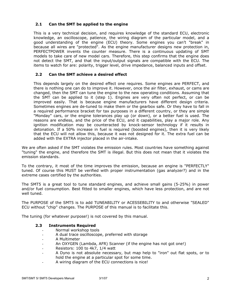### <span id="page-3-0"></span>**2.1 Can the SMT be applied to the engine**

This is a very technical decision, and requires knowledge of the standard ECU, electronic knowledge, an oscilloscope, patience, the wiring diagram of the particular model, and a good understanding of the engine (ECU) theory. Some engines you can't "break" in because all wires are "protected". As the engine manufacturer designs new protection in, PERFECTPOWER invents the counter measure. There is a continuous updating of SMT models to take care of new model cars. Therefore, this step confirms that the engine does not detect the SMT, and that the input/output signals are compatible with the ECU. The items to watch for are: polarity, trigger level, drive impedance, balanced inputs and offset.

### **2.2 Can the SMT achieve a desired effect**

This depends largely on the desired effect one requires. Some engines are PERFECT, and there is nothing one can do to improve it. However, once the air filter, exhaust, or cams are changed, then the SMT can tune the engine to the new operating conditions. Assuming that the SMT can be applied to it (step 1). Engines are very often not perfect, or can be improved easily. That is because engine manufacturers have different design criteria. Sometimes engines are de-tuned to make them or the gearbox safe. Or they have to fall in a required performance bracket for tax purposes in a different country, or they are simple "Monday" cars, or the engine tolerances play up (or down), or a better fuel is used. The reasons are endless, and the price of the ECU, and it capabilities, play a major role. Any ignition modification may be counteracted by knock-sensor technology if it results in detonation. If a 50% increase in fuel is required (boosted engines), then it is very likely that the ECU will not allow this, because it was not designed for it. The extra fuel can be added with the EXTRA injector placed in the air-intake.

We are often asked if the SMT violates the emission rules. Most countries have something against "tuning" the engine, and therefore the SMT is illegal. But this does not mean that it violates the emission standards.

To the contrary, it most of the time improves the emission, because an engine is "PERFECTLY" tuned. Of course this MUST be verified with proper instrumentation (gas analyzer?) and in the extreme cases certified by the authorities.

The SMT5 is a great tool to tune standard engines, and achieve small gains (5-25%) in power and/or fuel consumption. Best fitted to smaller engines, which have less protection, and are not well tuned.

The PURPOSE of the SMT5 is to add TUNEABILITY or ACESSEBILITY to and otherwise "SEALED" ECU without "chip" changes. The PURPOSE of this manual is to facilitate this.

The tuning (for whatever purpose!) is not covered by this manual.

### **2.3 Instruments Required**

- Normal workshop tools
- A dual trace oscilloscope, preferred with storage
- A Multimeter
- An OXYGEN (Lambda, AFR) Scanner (if the engine has not got one!)
- Resistors: 100 to 4k7, 1/4 watt
- A Dyno is not absolute necessary, but map help to "iron" out flat spots, or to hold the engine at a particular spot for some time.
- A wiring diagram of the ECU connections is nice!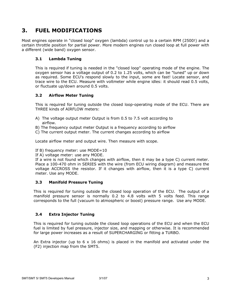### <span id="page-4-0"></span>**3. FUEL MODIFICATIONS**

Most engines operate in "closed loop" oxygen (lambda) control up to a certain RPM (2500!) and a certain throttle position for partial power. More modern engines run closed loop at full power with a different (wide band) oxygen sensor.

### **3.1 Lambda Tuning**

This is required if tuning is needed in the "closed loop" operating mode of the engine. The oxygen sensor has a voltage output of 0.2 to 1.25 volts, which can be "tuned" up or down as required. Some ECU's respond slowly to the input, some are fast! Locate sensor, and trace wire to the ECU. Measure with voltmeter while engine idles: it should read 0.5 volts, or fluctuate up/down around 0.5 volts.

### **3.2 Airflow Meter Tuning**

This is required for tuning outside the closed loop-operating mode of the ECU. There are THREE kinds of AIRFLOW meters:

- A) The voltage output meter Output is from 0.5 to 7.5 volt according to airflow.
- B) The frequency output meter Output is a frequency according to airflow
- C) The current output meter. The current changes according to airflow

Locate airflow meter and output wire. Then measure with scope.

If B) frequency meter: use MODE=10

If A) voltage meter: use any MODE.

If a wire is not found which changes with airflow, then it may be a type C) current meter. Place a 100-470 ohm in SERIES with the wire (from ECU wiring diagram) and measure the voltage ACCROSS the resistor. If it changes with airflow, then it is a type C) current meter. Use any MODE.

### **3.3 Manifold Pressure Tuning**

This is required for tuning outside the closed loop operation of the ECU. The output of a manifold pressure sensor is normally 0.2 to 4.8 volts with 5 volts feed. This range corresponds to the full (vacuum to atmospheric or boost) pressure range. Use any MODE.

### **3.4 Extra Injector Tuning**

This is required for tuning outside the closed loop operations of the ECU and when the ECU fuel is limited by fuel pressure, injector size, and mapping or otherwise. It is recommended for large power increases as a result of SUPERCHARGING or fitting a TURBO.

An Extra injector (up to  $6 \times 16$  ohms) is placed in the manifold and activated under the (F2) injection map from the SMT5.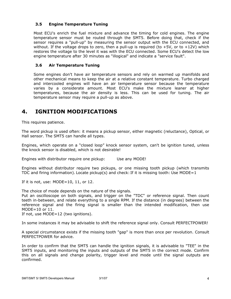### <span id="page-5-0"></span>**3.5 Engine Temperature Tuning**

Most ECU's enrich the fuel mixture and advance the timing for cold engines. The engine temperature sensor must be routed through the SMT5. Before doing that, check if the sensor requires a "pull-up" by measuring the sensor output with the ECU connected, and without. If the voltage drops to zero, then a pull-up is required (to  $+5V$ , or to  $+12V$ ) which restores the voltage to the level it was with the ECU connected. Some ECU's detect the low engine temperature after 30 minutes as "illogical" and indicate a "service fault".

### **3.6 Air Temperature Tuning**

Some engines don't have air temperature sensors and rely on warmed up manifolds and other mechanical means to keep the air at a relative constant temperature. Turbo charged and intercooled engines will have an air temperature sensor because the temperature varies by a considerate amount. Most ECU's make the mixture leaner at higher temperatures, because the air density is less. This can be used for tuning. The air temperature sensor may require a pull-up as above.

## **4. IGNITION MODIFICATIONS**

This requires patience.

The word pickup is used often: it means a pickup sensor, either magnetic (reluctance), Optical, or Hall sensor. The SMT5 can handle all types.

Engines, which operate on a "closed loop" knock sensor system, can't be ignition tuned, unless the knock sensor is disabled, which is not desirable!

Engines with distributor require one pickup: Use any MODE!

Engines without distributor require two pickups, or one missing tooth pickup (which transmits TDC and firing information). Locate pickup(s) and check: If it is missing tooth: Use MODE=1

If it is not, use: MODE=10, 11, or 12.

The choice of mode depends on the nature of the signals.

Put an oscilloscope on both signals, and trigger on the "TDC" or reference signal. Then count teeth in-between, and relate everything to a single RPM. If the distance (in degrees) between the reference signal and the firing signal is smaller than the intended modification, then use MODE=10 or 11.

If not, use MODE=12 (two ignitions).

In some instances it may be advisable to shift the reference signal only. Consult PERFECTPOWER!

A special circumstance exists if the missing tooth "gap" is more than once per revolution. Consult PERFECTPOWER for advice.

In order to confirm that the SMT5 can handle the ignition signals, it is advisable to "TEE" in the SMT5 inputs, and monitoring the inputs and outputs of the SMT5 in the correct mode. Confirm this on all signals and change polarity, trigger level and mode until the signal outputs are confirmed.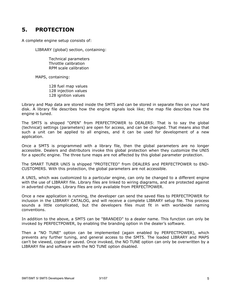## <span id="page-6-0"></span>**5. PROTECTION**

A complete engine setup consists of:

LIBRARY (global) section, containing:

 Technical parameters Throttle calibration RPM scale calibration

MAPS, containing:

128 fuel map values 128 injection values 128 ignition values

Library and Map data are stored inside the SMT5 and can be stored in separate files on your hard disk. A library file describes how the engine signals look like; the map file describes how the engine is tuned.

The SMT5 is shipped "OPEN" from PERFECTPOWER to DEALERS: That is to say the global (technical) settings (parameters) are open for access, and can be changed. That means also that such a unit can be applied to all engines, and it can be used for development of a new application.

Once a SMT5 is programmed with a library file, then the global parameters are no longer accessible. Dealers and distributors invoke this global protection when they customize the UNI5 for a specific engine. The three tune maps are not affected by this global parameter protection.

The SMART TUNER UNI5 is shipped "PROTECTED" from DEALERS and PERFECTPOWER to END-CUSTOMERS. With this protection, the global parameters are not accessible.

A UNI5, which was customized to a particular engine, can only be changed to a different engine with the use of LIBRARY file. Library files are linked to wiring diagrams, and are protected against in adverted changes. Library files are only available from PERFECTPOWER.

Once a new application is running, the developer can send the saved files to PERFECTPOWER for inclusion in the LIBRARY CATALOG, and will receive a complete LIBRARY setup file. This process sounds a little complicated, but the developers files must fit in with worldwide naming conventions.

In addition to the above, a SMT5 can be "BRANDED" to a dealer name. This function can only be invoked by PERFECTPOWER, by enabling the branding option in the dealer's software.

Then a "NO TUNE" option can be implemented (again enabled by PERFECTPOWER), which prevents any further tuning, and general access to the SMT5. The loaded LIBRARY and MAPS can't be viewed, copied or saved. Once invoked, the NO TUNE option can only be overwritten by a LIBRARY file and software with the NO TUNE option disabled.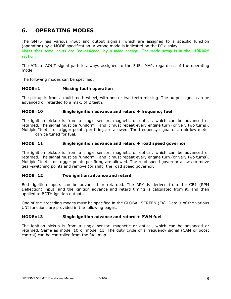### <span id="page-7-0"></span>**6. OPERATING MODES**

The SMT5 has various input and output signals, which are assigned to a specific function (operation) by a MODE specification. A wrong mode is indicated on the PC display. **Note: that some inputs are "re-assigned" by a mode change. The mode setup is in the LIBRARY section.** 

The AIN to AOUT signal path is always assigned to the FUEL MAP, regardless of the operating mode.

The following modes can be specified:

#### **MODE=1 Missing tooth operation**

The pickup is from a multi-tooth wheel, with one or two teeth missing. The output signal can be advanced or retarded to a max. of 2 teeth.

#### **MODE=10 Single ignition advance and retard + frequency fuel**

The ignition pickup is from a single sensor, magnetic or optical, which can be advanced or retarded. The signal must be "uniform", and it must repeat every engine turn (or very two turns). Multiple "teeth" or trigger points per firing are allowed. The frequency signal of an airflow meter can be tuned for fuel.

#### **MODE=11 Single ignition advance and retard + road speed governor**

The ignition pickup is from a single sensor, magnetic or optical, which can be advanced or retarded. The signal must be "uniform", and it must repeat every engine turn (or very two turns). Multiple "teeth" or trigger points per firing are allowed. The road speed governor allows to move gear-switching points and remove (or shift) the road speed governor.

### **MODE=12 Two ignition advance and retard**

Both ignition inputs can be advanced or retarded. The RPM is derived from the CB1 (RPM Deflection) input, and the ignition advance and retard timing is calculated from it, and then applied to BOTH ignition outputs.

One of the preceding modes must be specified in the GLOBAL SCREEN (F4). Details of the various UNI functions are provided in the following pages.

### **MODE=13 Single ignition advance and retard + PWM fuel**

The ignition pickup is from a single sensor, magnetic or optical, which can be advanced or retarded. Same as mode=10 or mode=11. The duty cycle of a frequency signal (CAM or boost control) can be controlled from the fuel map.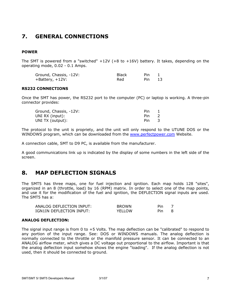## <span id="page-8-0"></span>**7. GENERAL CONNECTIONS**

### **POWER**

The SMT is powered from a "switched"  $+12V$  ( $+8$  to  $+16V$ ) battery. It takes, depending on the operating mode, 0.02 - 0.1 Amps.

| Ground, Chassis, -12V: | <b>Black</b> | Pin. |     |
|------------------------|--------------|------|-----|
| $+$ Battery, $+12V$ :  | Red          | Pin  | -13 |

#### **RS232 CONNECTIONS**

Once the SMT has power, the RS232 port to the computer (PC) or laptop is working. A three-pin connector provides:

| Ground, Chassis, -12V: | <b>Pin</b> |  |
|------------------------|------------|--|
| UNI RX (input):        | Pin.       |  |
| UNI TX (output):       | Pin.       |  |

The protocol to the unit is propriety, and the unit will only respond to the UTUNE DOS or the WINDOWS program, which can be downloaded from the [www.perfectpower.com](http://www.perfectpower.com/) Website.

A connection cable, SMT to D9 PC, is available from the manufacturer.

A good communications link up is indicated by the display of some numbers in the left side of the screen.

### **8. MAP DEFLECTION SIGNALS**

The SMT5 has three maps, one for fuel injection and ignition. Each map holds 128 "sites", organized in an 8 (throttle, load) by 16 (RPM) matrix. In order to select one of the map points, and use it for the modification of the fuel and ignition, the DEFLECTION signal inputs are used. The SMT5 has a:

| ANALOG DEFLECTION INPUT: | <b>BROWN</b> | Pin |  |
|--------------------------|--------------|-----|--|
| IGN1IN DEFLECTION INPUT: | YELLOW       | Pin |  |

### **ANALOG DEFLECTION:**

The signal input range is from 0 to +5 Volts. The map deflection can be "calibrated" to respond to any portion of the input range. See: DOS or WINDOWS manuals. The analog deflection is normally connected to the throttle or the manifold pressure sensor. It can be connected to an ANALOG airflow meter, which gives a DC voltage out proportional to the airflow. Important is that the analog deflection input somehow shows the engine "loading". If the analog deflection is not used, then it should be connected to ground.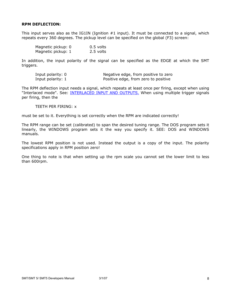#### <span id="page-9-0"></span>**RPM DEFLECTION:**

This input serves also as the IG1IN (Ignition #1 input). It must be connected to a signal, which repeats every 360 degrees. The pickup level can be specified on the global (F3) screen:

| Magnetic pickup: 0 | $0.5$ volts |
|--------------------|-------------|
| Magnetic pickup: 1 | 2.5 volts   |

In addition, the input polarity of the signal can be specified as the EDGE at which the SMT triggers.

| Input polarity: 0 | Negative edge, from positive to zero |
|-------------------|--------------------------------------|
| Input polarity: 1 | Positive edge, from zero to positive |

The RPM deflection input needs a signal, which repeats at least once per firing, except when using "Interlaced mode". See: [INTERLACED INPUT AND OUTPUTS.](#page-19-0) When using multiple trigger signals per firing, then the

TEETH PER FIRING: x

must be set to it. Everything is set correctly when the RPM are indicated correctly!

The RPM range can be set (calibrated) to span the desired tuning range. The DOS program sets it linearly, the WINDOWS program sets it the way you specify it. SEE: DOS and WINDOWS manuals.

The lowest RPM position is not used. Instead the output is a copy of the input. The polarity specifications apply in RPM position zero!

One thing to note is that when setting up the rpm scale you cannot set the lower limit to less than 600rpm.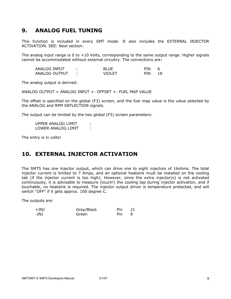### <span id="page-10-0"></span>**9. ANALOG FUEL TUNING**

This function is included in every SMT mode. It also includes the EXTERNAL INJECTOR ACTIVATION. SEE: Next section.

The analog input range is 0 to +10 Volts, corresponding to the same output range. Higher signals cannot be accommodated without external circuitry. The connections are:

| ANALOG INPUT  |        | <b>PIN</b> |  |
|---------------|--------|------------|--|
| ANALOG OUTPUT | VIOLET | PIN        |  |

The analog output is derived:

ANALOG OUTPUT = ANALOG INPUT +- OFFSET +- FUEL MAP VALUE

The offset is specified on the global (F3) screen, and the fuel map value is the value selected by the ANALOG and RPM DEFLECTION signals.

The output can be limited by the two global (F3) screen parameters:

UPPER ANALOG LIMIT : LOWER ANALOG LIMIT :

The entry is in volts!

### **10. EXTERNAL INJECTOR ACTIVATION**

The SMT5 has one injector output, which can drive one to eight injectors of 16ohms. The total injector current is limited to 7 Amps, and an optional heatsink must be installed on the cooling tab (if the injector current is too high). However, since the extra injector(s) is not activated continuously, it is advisable to measure (touch!) the cooling tap during injector activation, and if touchable, no heatsink is required. The injector output driver is temperature protected, and will switch "OFF" if it gets approx. 100 degree C.

The outputs are:

| $+IMJ$ | Grey/Black | Pin. | 21 |
|--------|------------|------|----|
| -INJ   | Green      | Pin  |    |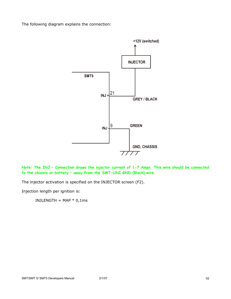The following diagram explains the connection:



**Note: The INJ – Connection draws the injector current of 1-7 Amps. This wire should be connected to the chassis or battery – away from the SMT-UNI GND (Black) wire.** 

The injector activation is specified on the INJECTOR screen (F2).

Injection length per ignition is:

INJLENGTH = MAP  $*$  0,1ms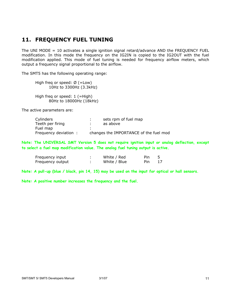### <span id="page-12-0"></span>**11. FREQUENCY FUEL TUNING**

The UNI MODE = 10 activates a single ignition signal retard/advance AND the FREQUENCY FUEL modification. In this mode the frequency on the IG2IN is copied to the IG2OUT with the fuel modification applied. This mode of fuel tuning is needed for frequency airflow meters, which output a frequency signal proportional to the airflow.

The SMT5 has the following operating range:

High freq or speed:  $\emptyset$  (=Low) 10Hz to 3300Hz (3.3kHz) High freq or speed:  $1$  (=High) 80Hz to 18000Hz (18kHz)

The active parameters are:

| Cylinders             | sets rpm of fuel map                   |
|-----------------------|----------------------------------------|
| Teeth per firing      | as above                               |
| Fuel map              |                                        |
| Frequency deviation : | changes the IMPORTANCE of the fuel mod |

**Note: The UNIVERSAL SMT Version 5 does not require ignition input or analog deflection, except to select a fuel map modification value. The analog fuel tuning output is active.** 

| Frequency input  | White / Red  | Pin |    |
|------------------|--------------|-----|----|
| Frequency output | White / Blue | Pin | 17 |

**Note: A pull-up (blue / black, pin 14, 15) may be used on the input for optical or hall sensors.** 

**Note: A positive number increases the frequency and the fuel.**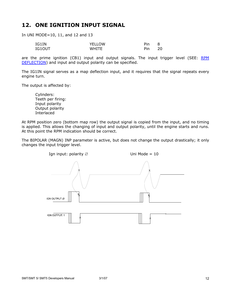### <span id="page-13-0"></span>**12. ONE IGNITION INPUT SIGNAL**

In UNI MODE=10, 11, and 12 and 13

| IG1IN          | <b>YELLOW</b> | Pin | Õ        |
|----------------|---------------|-----|----------|
| $IG1$ $O$ $IT$ | WHITF         | Pin | חר<br>۷J |

are the prime ignition (CB1) input and output signals. The input trigger level (SEE: RPM [DEFLECTION](#page-9-0)) and input and output polarity can be specified.

The IG1IN signal serves as a map deflection input, and it requires that the signal repeats every engine turn.

The output is affected by:

 Cylinders: Teeth per firing: Input polarity Output polarity Interlaced

At RPM position zero (bottom map row) the output signal is copied from the input, and no timing is applied. This allows the changing of input and output polarity, until the engine starts and runs. At this point the RPM indication should be correct.

The BIPOLAR (MAGN) INP parameter is active, but does not change the output drastically; it only changes the input trigger level.

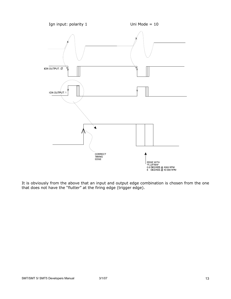

It is obviously from the above that an input and output edge combination is chosen from the one that does not have the "flutter" at the firing edge (trigger edge).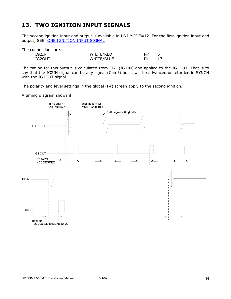### <span id="page-15-0"></span>**13. TWO IGNITION INPUT SIGNALS**

The second ignition input and output is available in UNI MODE=12. For the first ignition input and output, SEE: [ONE IGNITION INPUT SIGNAL](#page-13-0)

The connections are:

| IG2IN  | WHITE/RED  | Pin |  |
|--------|------------|-----|--|
| IG2OUT | WHITE/BLUE | Pin |  |

The timing for this output is calculated from CB1 (IG1IN) and applied to the IG2OUT. That is to say that the IG2IN signal can be any signal (Cam?) but it will be advanced or retarded in SYNCH with the IG1OUT signal.

The polarity and level settings in the global (F4) screen apply to the second ignition.

A timing diagram shows it.

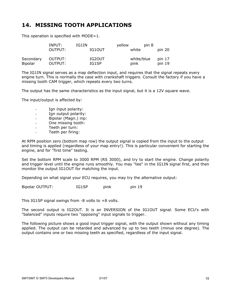### <span id="page-16-0"></span>**14. MISSING TOOTH APPLICATIONS**

This operation is specified with MODE=1.

|           | INPUT:  | IG1IN  | vellow     | pin 8    |
|-----------|---------|--------|------------|----------|
|           | OUTPUT: | IG10UT | white      | pin 20   |
| Secondary | OUTPUT: | IG20UT | white/blue | pin $17$ |
| Bipolar   | OUTPUT: | IG1SP  | pink       | pin 19   |

The IG1IN signal serves as a map deflection input, and requires that the signal repeats every engine turn. This is normally the case with crankshaft triggers. Consult the factory if you have a missing tooth CAM trigger, which repeats every two turns.

The output has the same characteristics as the input signal, but it is a 12V square wave.

The input/output is affected by:

- Ign input polarity:
- Ign output polarity:
- Bipolar (Magn.) inp:
- One missing tooth:
- Teeth per turn:
- Teeth per firing:

At RPM position zero (bottom map row) the output signal is copied from the input to the output and timing is applied (regardless of your map entry!). This is particular convenient for starting the engine, and for "first time" testing.

Set the bottom RPM scale to 3000 RPM (RS 3000), and try to start the engine. Change polarity and trigger level until the engine runs smoothly. You may "tee" in the IG1IN signal first, and then monitor the output IG1OUT for matching the input.

Depending on what signal your ECU requires, you may try the alternative output:

Bipolar OUTPUT: IG1SP pink pin 19

This IG1SP signal swings from -8 volts to +8 volts.

The second output is IG2OUT. It is an INVERSION of the IG1OUT signal. Some ECU's with "balanced" inputs require two "opposing" input signals to trigger.

The following picture shows a good input trigger signal, with the output shown without any timing applied. The output can be retarded and advanced by up to two teeth (minus one degree). The output contains one or two missing teeth as specified, regardless of the input signal.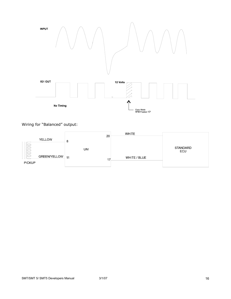

Wiring for "Balanced" output:

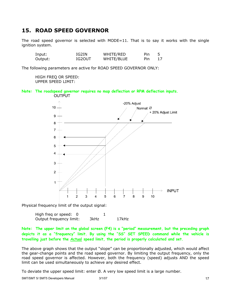### <span id="page-18-0"></span>**15. ROAD SPEED GOVERNOR**

The road speed governor is selected with MODE=11. That is to say it works with the single ignition system.

| Input:  | IG2IN  | WHITE/RED  | Pin |  |
|---------|--------|------------|-----|--|
| Output: | IG2OUT | WHITE/BLUE | Pin |  |

The following parameters are active for ROAD SPEED GOVERNOR ONLY:

HIGH FREQ OR SPEED: UPPER SPEED LIMIT:

**Note: The roadspeed governor requires no map deflection or RPM deflection inputs. OUTPUT** 



Physical frequency limit of the output signal:

| High freg or speed:     |      |       |
|-------------------------|------|-------|
| Output frequency limit: | 3kHz | 17kHz |

**Note: The upper limit on the global screen (F4) is a "period" measurement, but the preceding graph depicts it as a "frequency" limit. By using the "SS" SET SPEED command while the vehicle is travelling just before the Actual speed limit, the period is properly calculated and set.** 

The above graph shows that the output "slope" can be proportionally adjusted, which would affect the gear-change points and the road speed governor. By limiting the output frequency, only the road speed governor is affected. However, both the frequency (speed) adjusts AND the speed limit can be used simultaneously to achieve any desired effect.

To deviate the upper speed limit: enter  $\emptyset$ . A very low speed limit is a large number.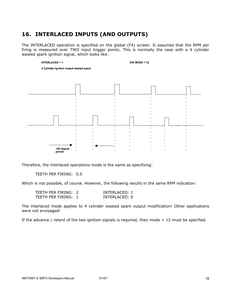### <span id="page-19-0"></span>**16. INTERLACED INPUTS (AND OUTPUTS)**

The INTERLACED operation is specified on the global (F4) screen. It assumes that the RPM per firing is measured over TWO input trigger points. This is normally the case with a 4 cylinder wasted spark ignition signal, which looks like:



Therefore, the interlaced operations mode is the same as specifying:

TEETH PER FIRING: 0.5

Which is not possible, of course. However, the following results in the same RPM indication:

| TEETH PER FIRING: 2 | INTERLACED: 1 |
|---------------------|---------------|
| TEETH PER FIRING: 1 | INTERLACED: 0 |

The interlaced mode applies to 4 cylinder wasted spark output modification! Other applications were not envisaged!

If the advance / retard of the two ignition signals is required, then mode  $= 12$  must be specified.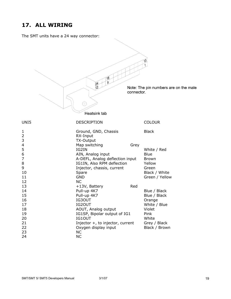### <span id="page-20-0"></span>**17. ALL WIRING**

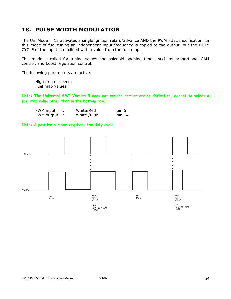### <span id="page-21-0"></span>**18. PULSE WIDTH MODULATION**

The Uni Mode = 13 activates a single ignition retard/advance AND the PWM FUEL modification. In this mode of fuel tuning an independent input frequency is copied to the output, but the DUTY CYCLE of the input is modified with a value from the fuel map.

This mode is called for tuning values and solenoid opening times, such as proportional CAM control, and boost regulation control.

The following parameters are active:

High freq or speed: Fuel map values:

**Note: The Universal SMT Version 5 does not require rpm or analog deflection, except to select a fuel map value other than in the bottom row.** 

| PWM input  | White/Red   | pin 5  |
|------------|-------------|--------|
| PWM output | White /Blue | pin 14 |

**Note: A positive number lengthens the duty cycle.** 

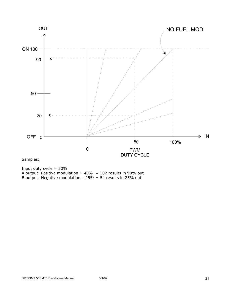

Samples:

Input duty cycle = 50% A output: Positive modulation + 40% = 102 results in 90% out B output: Negative modulation – 25% = 54 results in 25% out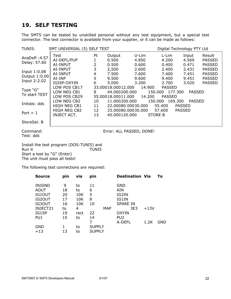### <span id="page-23-0"></span>**19. SELF TESTING**

The SMT5 can be tested by unskilled personal without any test equipment, but a special test connector. The test connector is available from your supplier, or it can be made as follows:

| TUNI5:                                                                                                                      | Digital Technology PTY Ltd<br>SMT UNIVERSAL (5) SELF TEST |                           |                                                           |                                  |                                           |                                  |                                                                  |
|-----------------------------------------------------------------------------------------------------------------------------|-----------------------------------------------------------|---------------------------|-----------------------------------------------------------|----------------------------------|-------------------------------------------|----------------------------------|------------------------------------------------------------------|
| AnaDefl: 4.57<br>Delay: 57.60                                                                                               | Test<br>AI-DEFL/PUP<br>AI-INPUT                           | Pt<br>1<br>$\overline{2}$ | Output<br>0.500<br>0.500                                  | U-Lim<br>4.850<br>0.600          | L-Lim<br>4.200<br>0.400                   | Input<br>4.569<br>0.471          | Result<br><b>PASSED</b><br><b>PASSED</b>                         |
| Input 1:0.08<br>Output 1:0.00<br>Input 2:2.02                                                                               | AI-INPUT<br>AI-INPUT<br>AI-INP<br>IGISP-OXYIN             | 3<br>4<br>5<br>6          | 2,500<br>7.500<br>9.500<br>5.000                          | 2.600<br>7.600<br>9.600<br>3.200 | 2.400<br>7.400<br>9.400<br>2.700          | 2.431<br>7.451<br>9.451<br>3.020 | <b>PASSED</b><br><b>PASSED</b><br><b>PASSED</b><br><b>PASSED</b> |
| Type "G"<br>To start TEST                                                                                                   | LOW POS CB17<br>LOW NEG CB1<br>LOW POS CB29               | 8                         | 33.00018.00012.000<br>44.000200.000<br>55.00018.00011.000 | 14.900<br>150.000<br>14.200      | <b>PASSED</b><br>177.300<br><b>PASSED</b> | <b>PASSED</b>                    |                                                                  |
| Initials: dds                                                                                                               | LOW NEG CB2<br>HIGH NEG CB1                               | 10<br>11                  | 11.000200.000<br>22.00080.00030.000                       | 150.000                          | 169.300<br>55.400                         | PASSED<br><b>PASSED</b>          |                                                                  |
| Port $= 1$                                                                                                                  | HIGH NEG CB2<br>INJECT ACT.                               | 12<br>13                  | 33.00080.00030.000<br>40.000120.000                       | <b>STORE B</b>                   | 57.600                                    | <b>PASSED</b>                    |                                                                  |
| StoreSel: B                                                                                                                 |                                                           |                           |                                                           |                                  |                                           |                                  |                                                                  |
| Command:<br>Test: dds                                                                                                       |                                                           |                           |                                                           | Error: ALL PASSED, DONE!         |                                           |                                  |                                                                  |
| Install the test program (DOS:TUNI5) and<br>Run it<br>TUNI5<br>Start a test by "G" (Enter)<br>The unit must pass all tests! |                                                           |                           |                                                           |                                  |                                           |                                  |                                                                  |

The following test connections are required:

| Source          | pin | via  | pin           |     | <b>Destination Via</b> |        | To         |
|-----------------|-----|------|---------------|-----|------------------------|--------|------------|
| <b>INJGND</b>   | 9   | to   | 11            |     | GND                    |        |            |
| AOUT            | 18  | to   | 6             |     | AIN                    |        |            |
| IG10UT          | 20  | 10K  | 5             |     | IG2IN                  |        |            |
| IG2OUT          | 17  | 10K  | 8             |     | IG1IN                  |        |            |
| IG30UT          | 16  | 10K  | 10            |     | <b>SPARE IN</b>        |        |            |
| INJECT21        | to  | 4    |               | MAP | 3E3                    | $+13V$ |            |
| IG1SP           | 19  | rect | 22            |     | <b>OXYIN</b>           |        |            |
| PU <sub>1</sub> | 15  | to   | 14            |     | PU <sub>2</sub>        |        |            |
|                 |     |      | 7             |     | A-DEFL                 | 1.2K   | <b>GND</b> |
| GND             |     | to   | <b>SUPPLY</b> |     |                        |        |            |
| $+13$           | 13  | to   | <b>SUPPLY</b> |     |                        |        |            |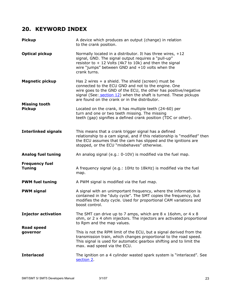### <span id="page-24-0"></span>**20. KEYWORD INDEX**

| <b>Pickup</b>                          | A device which produces an output (change) in relation<br>to the crank position.                                                                                                                                                                                                                      |
|----------------------------------------|-------------------------------------------------------------------------------------------------------------------------------------------------------------------------------------------------------------------------------------------------------------------------------------------------------|
| <b>Optical pickup</b>                  | Normally located in a distributor. It has three wires, $+12$<br>signal, GND. The signal output requires a "pull-up"<br>resistor to $+12$ Volts (4k7 to 10k) and then the signal<br>wire "jumps" between GND and $+10$ volts when the<br>crank turns.                                                  |
| <b>Magnetic pickup</b>                 | Has 2 wires $+$ a shield. The shield (screen) must be<br>connected to the ECU GND and not to the engine. One<br>wire goes to the GND of the ECU, the other has positive/negative<br>signal (See: section 12) when the shaft is turned. These pickups<br>are found on the crank or in the distributor. |
| <b>Missing tooth</b><br><b>Pickup</b>  | Located on the crank, it has multiple teeth (24-60) per<br>turn and one or two teeth missing. The missing<br>teeth (gap) signifies a defined crank position (TDC or other).                                                                                                                           |
| <b>Interlinked signals</b>             | This means that a crank trigger signal has a defined<br>relationship to a cam signal, and if this relationship is "modified" then<br>the ECU assumes that the cam has slipped and the ignitions are<br>stopped, or the ECU "misbehaves" otherwise.                                                    |
| <b>Analog fuel tuning</b>              | An analog signal (e.g.: 0-10V) is modified via the fuel map.                                                                                                                                                                                                                                          |
| <b>Frequency fuel</b><br><b>Tuning</b> | A frequency signal (e.g.: 10Hz to 18kHz) is modified via the fuel<br>map.                                                                                                                                                                                                                             |
| <b>PWM fuel tuning</b>                 | A PWM signal is modified via the fuel map.                                                                                                                                                                                                                                                            |
| <b>PWM signal</b>                      | A signal with an unimportant frequency, where the information is<br>contained in the "duty cycle". The SMT copies the frequency, but<br>modifies the duty cycle. Used for proportional CAM variations and<br>boost control.                                                                           |
| <b>Injector activation</b>             | The SMT can drive up to 7 amps, which are $8 \times 16$ ohm, or $4 \times 8$<br>ohm, or 2 x 4 ohm injectors. The injectors are activated proportional<br>to Rpm and the map values.                                                                                                                   |
| <b>Road speed</b><br>governor          | This is not the RPM limit of the ECU, but a signal derived from the<br>transmission train, which changes proportional to the road speed.<br>This signal is used for automatic gearbox shifting and to limit the<br>max. wad speed via the ECU.                                                        |
| <b>Interlaced</b>                      | The ignition on a 4 cylinder wasted spark system is "interlaced". See<br>section 2.                                                                                                                                                                                                                   |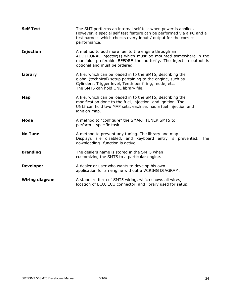| <b>Self Test</b>      | The SMT performs an internal self test when power is applied.<br>However, a special self test feature can be performed via a PC and a<br>test harness which checks every input / output for the correct<br>performance.    |
|-----------------------|----------------------------------------------------------------------------------------------------------------------------------------------------------------------------------------------------------------------------|
| <b>Injection</b>      | A method to add more fuel to the engine through an<br>ADDITIONAL injector(s) which must be mounted somewhere in the<br>manifold, preferable BEFORE the butterfly. The injection output is<br>optional and must be ordered. |
| Library               | A file, which can be loaded in to the SMT5, describing the<br>global (technical) setup pertaining to the engine, such as<br>Cylinders, Trigger level, Teeth per firing, mode, etc.<br>The SMT5 can hold ONE library file.  |
| Map                   | A file, which can be loaded in to the SMT5, describing the<br>modification done to the fuel, injection, and ignition. The<br>UNI5 can hold two MAP sets, each set has a fuel injection and<br>ignition map.                |
| Mode                  | A method to "configure" the SMART TUNER SMT5 to<br>perform a specific task.                                                                                                                                                |
| <b>No Tune</b>        | A method to prevent any tuning. The library and map<br>Displays are disabled, and keyboard entry is prevented. The<br>downloading function is active.                                                                      |
| <b>Branding</b>       | The dealers name is stored in the SMT5 when<br>customizing the SMT5 to a particular engine.                                                                                                                                |
| <b>Developer</b>      | A dealer or user who wants to develop his own<br>application for an engine without a WIRING DIAGRAM.                                                                                                                       |
| <b>Wiring diagram</b> | A standard form of SMT5 wiring, which shows all wires,<br>location of ECU, ECU connector, and library used for setup.                                                                                                      |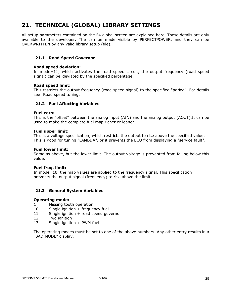### <span id="page-26-0"></span>**21. TECHNICAL (GLOBAL) LIBRARY SETTINGS**

All setup parameters contained on the F4 global screen are explained here. These details are only available to the developer. The can be made visible by PERFECTPOWER, and they can be OVERWRITTEN by any valid library setup (file).

### **21.1 Road Speed Governor**

#### **Road speed deviation:**

In mode=11, which activates the road speed circuit, the output frequency (road speed signal) can be deviated by the specified percentage.

#### **Road speed limit:**

This restricts the output frequency (road speed signal) to the specified "period". For details see: Road speed tuning.

### **21.2 Fuel Affecting Variables**

#### **Fuel zero:**

This is the "offset" between the analog input (AIN) and the analog output (AOUT).It can be used to make the complete fuel map richer or leaner.

#### **Fuel upper limit:**

This is a voltage specification, which restricts the output to rise above the specified value. This is good for tuning "LAMBDA", or it prevents the ECU from displaying a "service fault".

#### **Fuel lower limit:**

Same as above, but the lower limit. The output voltage is prevented from falling below this value.

#### **Fuel freq. limit:**

In mode=10, the map values are applied to the frequency signal. This specification prevents the output signal (frequency) to rise above the limit.

### **21.3 General System Variables**

#### **Operating mode:**

- 1 Missing tooth operation
- 10 Single ignition + frequency fuel
- 11 Single ignition + road speed governor
- 12 Two ignition
- 13 Single ignition + PWM fuel

The operating modes must be set to one of the above numbers. Any other entry results in a "BAD MODE" display.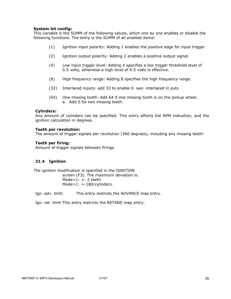### <span id="page-27-0"></span>**System bit config:**

This variable is the SUMM of the following values, which one by one enables or disable the following functions. The entry is the SUMM of all enabled items!

- (1) Ignition input polarity: Adding 1 enables the positive edge for input trigger
- (2) Ignition output polarity: Adding 2 enables a positive output signal.
- (4) Low input trigger level: Adding 4 specifies a low trigger threshold level of 0.5 volts, otherwise a high level of 4.5 volts is effective.
- (8) High frequency range: Adding 8 specifies the high frequency range.
- (32) Interlaced inputs: add 32 to enable it. see: interlaced in puts
- (64) One missing tooth: Add 64 if one missing tooth is on the pickup wheel. a. Add 0 for two missing teeth.

### **Cylinders:**

Any amount of cylinders can be specified. This entry affects the RPM indication, and the ignition calculation in degrees.

#### **Teeth per revolution:**

The amount of trigger signals per revolution (360 degrees), including any missing teeth!

### **Teeth per firing:**

Amount of trigger signals between firings.

### **21.4 Ignition**

The ignition modification is specified in the IGNITION screen (F3). The maximum deviation is: Mode= $1: + -2$  teeth Mode>1: +-180/cylinders.

Ign. adv. limit: This entry restricts the ADVANCE map entry.

Ign. ret. limit:This entry restricts the RETARD map entry.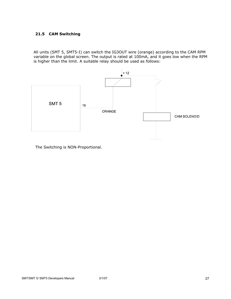### <span id="page-28-0"></span>**21.5 CAM Switching**

All units (SMT 5, SMT5-I) can switch the IG3OUT wire (orange) according to the CAM RPM variable on the global screen. The output is rated at 100mA, and it goes low when the RPM is higher than the limit. A suitable relay should be used as follows:



The Switching is NON-Proportional.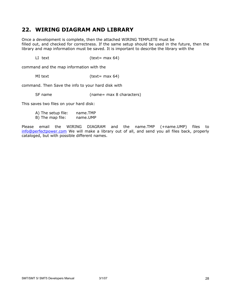### <span id="page-29-0"></span>**22. WIRING DIAGRAM AND LIBRARY**

Once a development is complete, then the attached WIRING TEMPLETE must be filled out, and checked for correctness. If the same setup should be used in the future, then the library and map information must be saved. It is important to describe the library with the

LI text (text= max 64)

command and the map information with the

MI text (text= max 64)

command. Then Save the info to your hard disk with

SF name (name= max 8 characters)

This saves two files on your hard disk:

| A) The setup file: | name.TMP |
|--------------------|----------|
| B) The map file:   | name.UMP |

Please email the WIRING DIAGRAM and the name.TMP (+name.UMP) files to [info@perfectpower.com](mailto:info@perfectpower.com) We will make a library out of all, and send you all files back, properly cataloged, but with possible different names.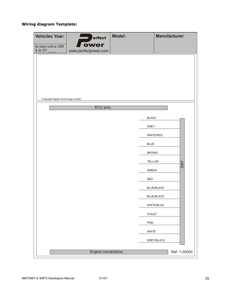### **Wiring diagram Template:**

| <b>Vehicles Year:</b>                  | erfect                       | <b>Model:</b>                 | <b>Manufacturer:</b> |
|----------------------------------------|------------------------------|-------------------------------|----------------------|
| Is your unit a UNI<br>$4$ or 5?        | ower<br>www.perfectpower.com |                               |                      |
|                                        |                              |                               |                      |
|                                        |                              |                               |                      |
|                                        |                              |                               |                      |
|                                        |                              |                               |                      |
| Copyright Digital Technology pty(Itd). |                              |                               |                      |
|                                        | ECU pins.                    |                               |                      |
|                                        |                              | <b>BLACK</b>                  |                      |
|                                        |                              | <b>GREY</b>                   |                      |
|                                        |                              |                               | <b>WHITE/RED</b>     |
|                                        |                              | <b>BLUE</b>                   |                      |
|                                        |                              | <b>BROWN</b>                  |                      |
|                                        |                              | <b>YELLOW</b><br><b>GREEN</b> | <b>SMT</b>           |
|                                        |                              | <b>RED</b>                    |                      |
|                                        |                              |                               | <b>BLUE/BLACK</b>    |
|                                        |                              |                               | <b>BLUE/BLACK</b>    |
|                                        |                              |                               | WHITE/BLUE           |
|                                        |                              | <b>VIOLET</b>                 |                      |
|                                        |                              | PINK                          |                      |
|                                        |                              | WHITE                         |                      |
|                                        |                              |                               | GREY/BLACK           |
|                                        | Engine connections.          |                               | Ref: 1-00000         |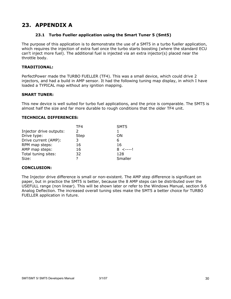### <span id="page-31-0"></span>**23. APPENDIX A**

### **23.1 Turbo Fueller application using the Smart Tuner 5 (Smt5)**

The purpose of this application is to demonstrate the use of a SMT5 in a turbo fueller application, which requires the injection of extra fuel once the turbo starts boosting (where the standard ECU can't inject more fuel). The additional fuel is injected via an extra injector(s) placed near the throttle body.

### **TRADITIONAL:**

PerfectPower made the TURBO FUELLER (TF4). This was a small device, which could drive 2 injectors, and had a build in AMP sensor. It had the following tuning map display, in which I have loaded a TYPICAL map without any ignition mapping.

### **SMART TUNER:**

This new device is well suited for turbo fuel applications, and the price is comparable. The SMT5 is almost half the size and far more durable to rough conditions that the older TF4 unit.

### **TECHNICAL DIFFERENCES:**

|                         | TF4         | SMT5            |
|-------------------------|-------------|-----------------|
| Injector drive outputs: | っ           |                 |
| Drive type:             | <b>Step</b> | OΝ              |
| Drive current (AMP):    | 3           | 6               |
| RPM map steps:          | 16          | 16              |
| AMP map steps:          | 16          | $8 \le - - - 1$ |
| Total tuning sites:     | 32          | 128             |
| Size:                   | 7           | Smaller         |

### **CONCLUSION:**

The Injector drive difference is small or non-existent. The AMP step difference is significant on paper, but in practice the SMT5 is better, because the 8 AMP steps can be distributed over the USEFULL range (non linear). This will be shown later or refer to the Windows Manual, section 9.6 Analog Deflection. The increased overall tuning sites make the SMT5 a better choice for TURBO FUELLER application in future.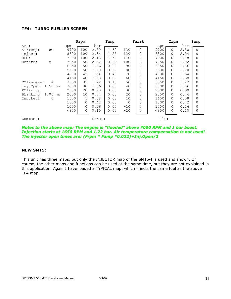### **TF4: TURBO FUELLER SCREEN**

|                      |       | Frpm         |        | Famp |          | Fairt    |       | Irpm     |      | Iamp         |
|----------------------|-------|--------------|--------|------|----------|----------|-------|----------|------|--------------|
| AMP:                 | Rpm   |              | bar    |      |          |          | Rpm   |          | bar  |              |
| AirTemp:<br>ØC       | 9700  | 100          | 2.50   | 1.60 | 130      | $\Omega$ | 9700  | $\Omega$ | 2.50 | $\Omega$     |
| Inject:              | 8800  | 100          | 2.34   | 1.55 | 120      | $\Omega$ | 8800  | 0        | 2.34 | $\Omega$     |
| RPM:                 | 7900  | 100          | 2.18   | 1.50 | 110      | $\Omega$ | 7900  | 0        | 2.18 | $\Omega$     |
| Retard:<br>Ø         | 7050  | 50           | 2.02   | 0.99 | 100      | $\Omega$ | 7050  | 0        | 2.02 | $\mathbf 0$  |
|                      | 6250  | 50           | 1.86   | 0.90 | 90       | $\Omega$ | 6250  | 0        | 1.86 | 0            |
|                      | 5500  | 50           | 1.70   | 0.60 | 80       | $\Omega$ | 5500  | 0        | 1.70 | 0            |
|                      | 4800  | 45           | 1.54   | 0.40 | 70       | $\Omega$ | 4800  | 0        | 1.54 | $\Omega$     |
|                      | 4150  | 40           | 1.38   | 0.20 | 60       | $\Omega$ | 4150  | $\Omega$ | 1.38 | $\Omega$     |
| 4<br>CYlinders:      | 3550  | 35           | 1.22   | 0.10 | 50       | $\Omega$ | 3550  | 0        | 1.22 | 0            |
| Inj.Open: 1.50 ms    | 3000  | 30           | 1.06   | 0.00 | 40       | $\Omega$ | 3000  | 0        | 1.06 | $\Omega$     |
| POlarity:            | 2500  | 20           | 0.90   | 0.00 | 30       | $\Omega$ | 2500  | 0        | 0.90 | $\Omega$     |
| BLanking: 1.00<br>ms | 2050  | 10           | 0.74   | 0.00 | 20       | $\Omega$ | 2050  | 0        | 0.74 | $\Omega$     |
| Inp.Levl:<br>0       | 1650  | 5            | 0.58   | 0.00 | 10       | $\Omega$ | 1650  | 0        | 0.58 | 0            |
|                      | 1300  | $\mathbf{0}$ | 0.42   | 0.00 | $\Omega$ | $\Omega$ | 1300  | 0        | 0.42 | $\Omega$     |
|                      | 1000  | 0            | 0.26   | 0.00 | $-10$    | $\Omega$ | 1000  | 0        | 0.26 | 0            |
|                      | < 850 | 0            | 0.10   | 0.00 | $-20$    | 0        | < 850 | 0        | 0.10 | $\mathbf{0}$ |
| Command:             |       |              | Error: |      |          |          | File: |          |      |              |

#### *Notes to the above map: The engine is "flooded" above 7000 RPM and 1 bar boost. Injection starts at 1650 RPM and 1.22 bar. Air temperature compensation is not used! The injector open times are: (Frpm \* Famp \*0.032)+Inj.Open/2*

### **NEW SMT5:**

This unit has three maps, but only the INJECTOR map of the SMT5-I is used and shown. Of course, the other maps and functions can be used at the same time, but they are not explained in this application. Again I have loaded a TYPICAL map, which injects the same fuel as the above TF4 map.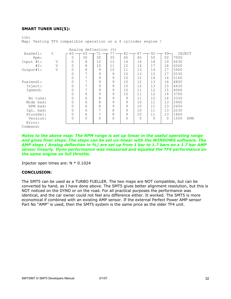#### **SMART TUNER UNI(5):**

 $I.i h.$ Map: Testing TF4 compatible operation on a 4 cylinder engine ! Analog deflection (%)<br>AnaDefl:  $\%$   $\overline{60} \rightarrow 65 \rightarrow 71 \rightarrow 77$ . AnaDefl:  $\frac{8}{5}$   $\frac{60}{100}$  65  $\frac{1}{100}$  77  $\frac{1}{100}$  82  $\frac{1}{100}$  87  $\frac{1}{100}$  92  $\frac{1}{100}$  INJECT Rpm: 0 30 30 35 40 45 50 50 7000 Input #1: V 0 8 10 12 14 16 18 19 6630 #2: V 0 8 10 11 12 14 17 18 6260 Output#1: | 0 | 8 | 9 | 10 | 11 | 13 | 16 | 17 |5900 0 7 9 9 10 13 15 17 5530 0 7 9 9 10 12 14 16 5160 Fuelmod1: 0 7 9 9 10 12 13 16 4800 Inject: 0 7 9 9 10 12 13 15 4430

 Ignmod: 0 7 9 9 10 11 12 15 4066 0 6 9 9 10 11 12 14 3700 No tune: 0 6 8 9 9 11 12 14 3330 Mode bad: 0 6 8 9 9 10 11 13 2960 RPM bad: 0 6 8 9 9 10 11 13 2600 Ign. bad: 0 6 7 8 9 10 11 13 2230<br>StoreSel: 0 6 7 8 9 10 11 13 1860 StoreSel: 0 6 7 8 9 10 11 13 1860<br>Version: 0 0 0 0 0 0 0 0 1500 Version: 0 0 0 0 0 0 0 0 1500 RPM

*Notes to the above map: The RPM range is set up linear in the useful operating range and gives finer steps. The steps can be set un-linear with the WINDOWS software. The AMP steps ( Analog deflection in %) are set up from 1 bar to 1.7 bars on a 1.7 bar AMP sensor linearly. Dyno performance was measured and equaled the TF4 performance on the same engine on full throttle.* 

Injector open times are: N \* 0.1024

#### **CONCLUSION:**

 Error: Command:

The SMT5 can be used as a TURBO FUELLER. The two maps are NOT compatible, but can be converted by hand, as I have done above. The SMT5 gives better alignment resolution, but this is NOT noticed on the DYNO or on the road. For all practical purposes the performance was identical, and the car owner could not feel any difference either. It worked. The SMT5 is more economical if combined with an existing AMP sensor. If the external Perfect Power AMP sensor Part No "AMP" is used, then the SMT5 system is the same price as the older TF4 unit.